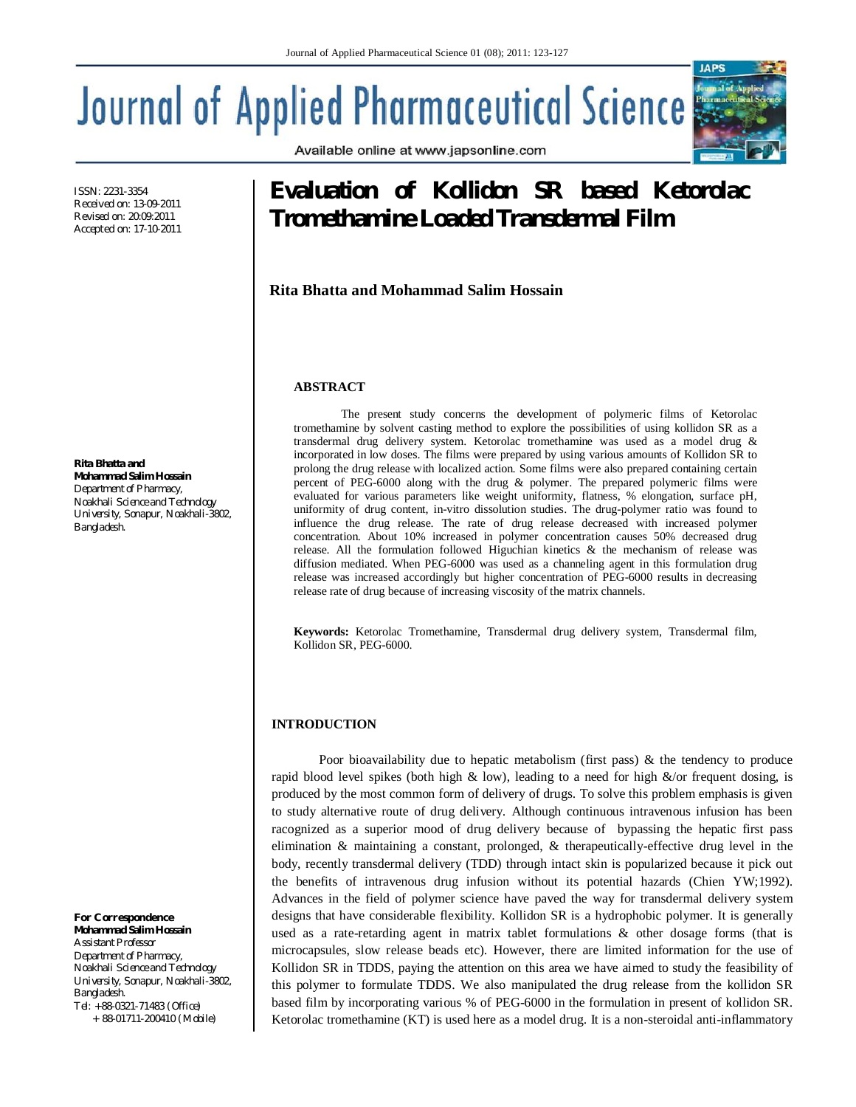Available online at www.japsonline.com

# **Journal of Applied Pharmaceutical Science**

ISSN: 2231-3354 Received on: 13-09-2011 Revised on: 20:09:2011 Accepted on: 17-10-2011

**Rita Bhatta and Mohammad Salim Hossain** *Department of Pharmacy, Noakhali Science and Technology University, Sonapur, Noakhali-3802, Bangladesh.*

#### *For Correspondence* **Mohammad Salim Hossain**

*Assistant Professor Department of Pharmacy, Noakhali Science and Technology University, Sonapur, Noakhali-3802, Bangladesh. Tel: +88-0321-71483 (Office)*

 *+ 88-01711-200410 (Mobile)*

# **Evaluation of Kollidon SR based Ketorolac Tromethamine Loaded Transdermal Film**

**Rita Bhatta and Mohammad Salim Hossain**

# **ABSTRACT**

The present study concerns the development of polymeric films of Ketorolac tromethamine by solvent casting method to explore the possibilities of using kollidon SR as a transdermal drug delivery system. Ketorolac tromethamine was used as a model drug & incorporated in low doses. The films were prepared by using various amounts of Kollidon SR to prolong the drug release with localized action. Some films were also prepared containing certain percent of PEG-6000 along with the drug & polymer. The prepared polymeric films were evaluated for various parameters like weight uniformity, flatness, % elongation, surface pH, uniformity of drug content, in-vitro dissolution studies. The drug-polymer ratio was found to influence the drug release. The rate of drug release decreased with increased polymer concentration. About 10% increased in polymer concentration causes 50% decreased drug release. All the formulation followed Higuchian kinetics & the mechanism of release was diffusion mediated. When PEG-6000 was used as a channeling agent in this formulation drug release was increased accordingly but higher concentration of PEG-6000 results in decreasing release rate of drug because of increasing viscosity of the matrix channels.

**Keywords:** Ketorolac Tromethamine, Transdermal drug delivery system, Transdermal film, Kollidon SR, PEG-6000.

# **INTRODUCTION**

Poor bioavailability due to hepatic metabolism (first pass) & the tendency to produce rapid blood level spikes (both high & low), leading to a need for high  $\&$ /or frequent dosing, is produced by the most common form of delivery of drugs. To solve this problem emphasis is given to study alternative route of drug delivery. Although continuous intravenous infusion has been racognized as a superior mood of drug delivery because of bypassing the hepatic first pass elimination & maintaining a constant, prolonged, & therapeutically-effective drug level in the body, recently transdermal delivery (TDD) through intact skin is popularized because it pick out the benefits of intravenous drug infusion without its potential hazards (Chien YW;1992). Advances in the field of polymer science have paved the way for transdermal delivery system designs that have considerable flexibility. Kollidon SR is a hydrophobic polymer. It is generally used as a rate-retarding agent in matrix tablet formulations & other dosage forms (that is microcapsules, slow release beads etc). However, there are limited information for the use of Kollidon SR in TDDS, paying the attention on this area we have aimed to study the feasibility of this polymer to formulate TDDS. We also manipulated the drug release from the kollidon SR based film by incorporating various % of PEG-6000 in the formulation in present of kollidon SR. Ketorolac tromethamine (KT) is used here as a model drug. It is a non-steroidal anti-inflammatory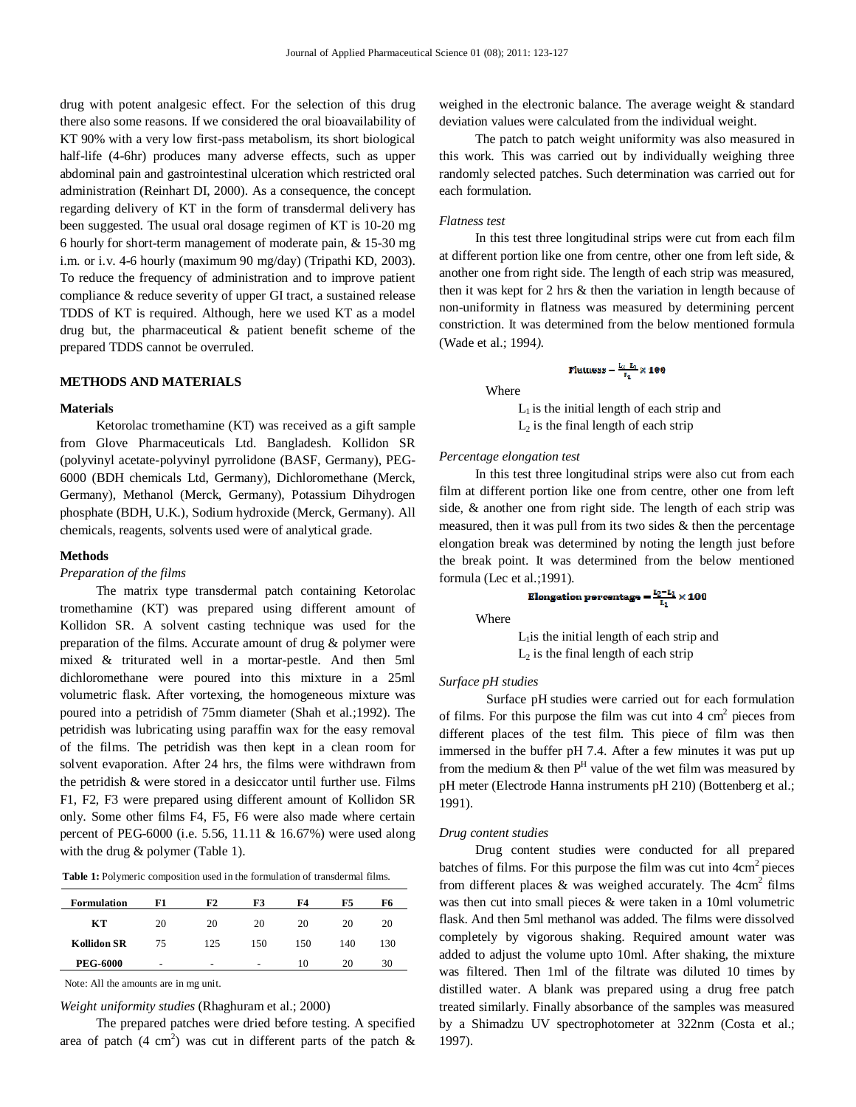drug with potent analgesic effect. For the selection of this drug there also some reasons. If we considered the oral bioavailability of KT 90% with a very low first-pass metabolism, its short biological half-life (4-6hr) produces many adverse effects, such as upper abdominal pain and gastrointestinal ulceration which restricted oral administration (Reinhart DI, 2000). As a consequence, the concept regarding delivery of KT in the form of transdermal delivery has been suggested. The usual oral dosage regimen of KT is 10-20 mg 6 hourly for short-term management of moderate pain, & 15-30 mg i.m. or i.v. 4-6 hourly (maximum 90 mg/day) (Tripathi KD, 2003). To reduce the frequency of administration and to improve patient compliance & reduce severity of upper GI tract, a sustained release TDDS of KT is required. Although, here we used KT as a model drug but, the pharmaceutical & patient benefit scheme of the prepared TDDS cannot be overruled.

# **METHODS AND MATERIALS**

#### **Materials**

 Ketorolac tromethamine (KT) was received as a gift sample from Glove Pharmaceuticals Ltd. Bangladesh. Kollidon SR (polyvinyl acetate-polyvinyl pyrrolidone (BASF, Germany), PEG-6000 (BDH chemicals Ltd, Germany), Dichloromethane (Merck, Germany), Methanol (Merck, Germany), Potassium Dihydrogen phosphate (BDH, U.K.), Sodium hydroxide (Merck, Germany). All chemicals, reagents, solvents used were of analytical grade.

#### **Methods**

# *Preparation of the films*

 The matrix type transdermal patch containing Ketorolac tromethamine (KT) was prepared using different amount of Kollidon SR. A solvent casting technique was used for the preparation of the films. Accurate amount of drug & polymer were mixed & triturated well in a mortar-pestle. And then 5ml dichloromethane were poured into this mixture in a 25ml volumetric flask. After vortexing, the homogeneous mixture was poured into a petridish of 75mm diameter (Shah et al.;1992). The petridish was lubricating using paraffin wax for the easy removal of the films. The petridish was then kept in a clean room for solvent evaporation. After 24 hrs, the films were withdrawn from the petridish & were stored in a desiccator until further use. Films F1, F2, F3 were prepared using different amount of Kollidon SR only. Some other films F4, F5, F6 were also made where certain percent of PEG-6000 (i.e. 5.56, 11.11 & 16.67%) were used along with the drug & polymer (Table 1).

**Table 1:** Polymeric composition used in the formulation of transdermal films.

| <b>Formulation</b> | F1 | F2  | F3  | F4  | F5  | F6  |
|--------------------|----|-----|-----|-----|-----|-----|
| KТ                 | 20 | 20  | 20  | 20  | 20  | 20  |
| <b>Kollidon SR</b> | 75 | 125 | 150 | 150 | 140 | 130 |
| <b>PEG-6000</b>    | -  | -   |     | 10  | 20  | 30  |

Note: All the amounts are in mg unit.

*Weight uniformity studies* (Rhaghuram et al.; 2000)

 The prepared patches were dried before testing. A specified area of patch  $(4 \text{ cm}^2)$  was cut in different parts of the patch & weighed in the electronic balance. The average weight & standard deviation values were calculated from the individual weight.

 The patch to patch weight uniformity was also measured in this work. This was carried out by individually weighing three randomly selected patches. Such determination was carried out for each formulation.

#### *Flatness test*

 In this test three longitudinal strips were cut from each film at different portion like one from centre, other one from left side, & another one from right side. The length of each strip was measured, then it was kept for 2 hrs & then the variation in length because of non-uniformity in flatness was measured by determining percent constriction. It was determined from the below mentioned formula (Wade et al.; 1994*)*.

$$
Flatness = \frac{L_2 - L_1}{L_2} \times 100
$$

Where

 $L<sub>1</sub>$  is the initial length of each strip and  $L_2$  is the final length of each strip

#### *Percentage elongation test*

 In this test three longitudinal strips were also cut from each film at different portion like one from centre, other one from left side, & another one from right side. The length of each strip was measured, then it was pull from its two sides & then the percentage elongation break was determined by noting the length just before the break point. It was determined from the below mentioned formula (Lec et al.;1991).

Elongation percentage =  $\frac{L_2 - L_1}{L_1} \times 100$ 

Where

 $L<sub>1</sub>$ is the initial length of each strip and  $L_2$  is the final length of each strip

#### *Surface pH studies*

Surface pH studies were carried out for each formulation of films. For this purpose the film was cut into  $4 \text{ cm}^2$  pieces from different places of the test film. This piece of film was then immersed in the buffer pH 7.4. After a few minutes it was put up from the medium  $\&$  then  $P^H$  value of the wet film was measured by pH meter (Electrode Hanna instruments pH 210) (Bottenberg et al.; 1991).

#### *Drug content studies*

 Drug content studies were conducted for all prepared batches of films. For this purpose the film was cut into  $4 \text{cm}^2$  pieces from different places & was weighed accurately. The  $4cm<sup>2</sup>$  films was then cut into small pieces & were taken in a 10ml volumetric flask. And then 5ml methanol was added. The films were dissolved completely by vigorous shaking. Required amount water was added to adjust the volume upto 10ml. After shaking, the mixture was filtered. Then 1ml of the filtrate was diluted 10 times by distilled water. A blank was prepared using a drug free patch treated similarly. Finally absorbance of the samples was measured by a Shimadzu UV spectrophotometer at 322nm (Costa et al.; 1997).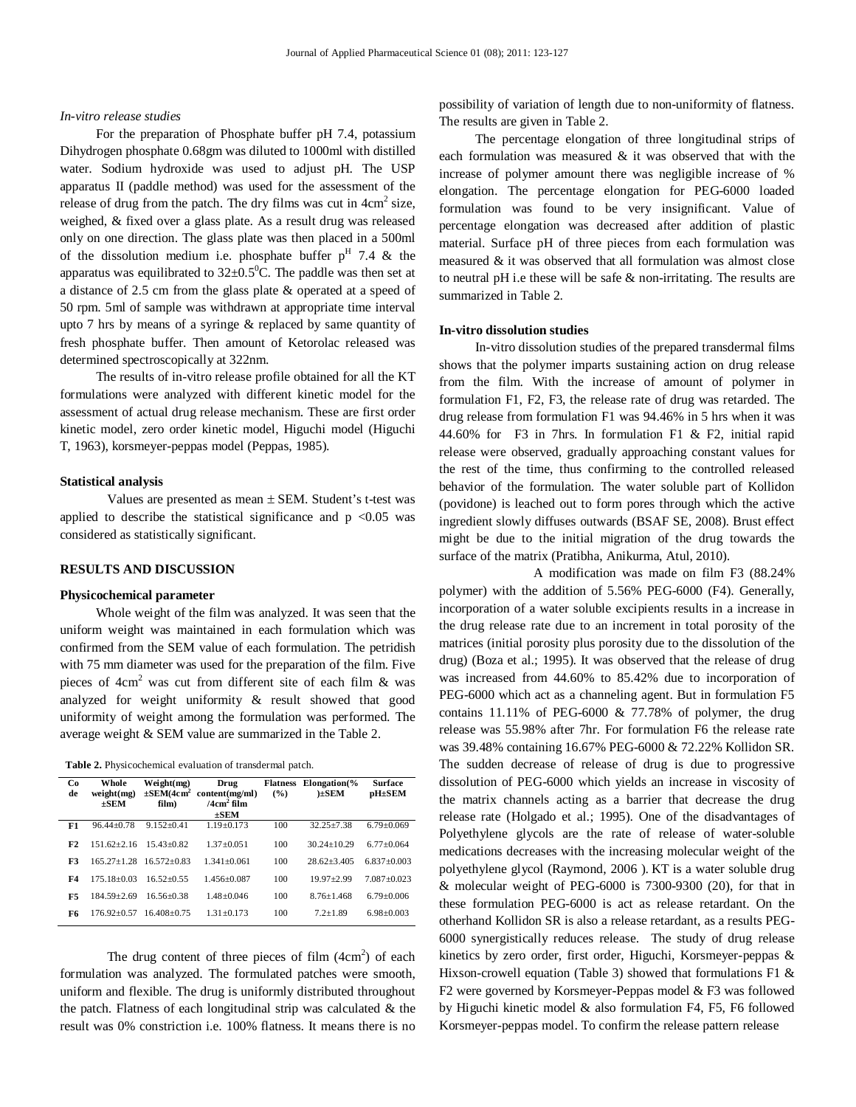#### *In-vitro release studies*

For the preparation of Phosphate buffer pH 7.4, potassium Dihydrogen phosphate 0.68gm was diluted to 1000ml with distilled water. Sodium hydroxide was used to adjust pH. The USP apparatus II (paddle method) was used for the assessment of the release of drug from the patch. The dry films was cut in  $4 \text{cm}^2$  size, weighed, & fixed over a glass plate. As a result drug was released only on one direction. The glass plate was then placed in a 500ml of the dissolution medium i.e. phosphate buffer  $p<sup>H</sup>$  7.4 & the apparatus was equilibrated to  $32\pm0.5^{\circ}$ C. The paddle was then set at a distance of 2.5 cm from the glass plate & operated at a speed of 50 rpm. 5ml of sample was withdrawn at appropriate time interval upto 7 hrs by means of a syringe & replaced by same quantity of fresh phosphate buffer. Then amount of Ketorolac released was determined spectroscopically at 322nm.

 The results of in-vitro release profile obtained for all the KT formulations were analyzed with different kinetic model for the assessment of actual drug release mechanism. These are first order kinetic model, zero order kinetic model, Higuchi model (Higuchi T, 1963), korsmeyer-peppas model (Peppas, 1985).

## **Statistical analysis**

Values are presented as mean  $\pm$  SEM. Student's t-test was applied to describe the statistical significance and  $p < 0.05$  was considered as statistically significant.

# **RESULTS AND DISCUSSION**

## **Physicochemical parameter**

 Whole weight of the film was analyzed. It was seen that the uniform weight was maintained in each formulation which was confirmed from the SEM value of each formulation. The petridish with 75 mm diameter was used for the preparation of the film. Five pieces of  $4cm<sup>2</sup>$  was cut from different site of each film & was analyzed for weight uniformity & result showed that good uniformity of weight among the formulation was performed. The average weight & SEM value are summarized in the Table 2.

**Table 2.** Physicochemical evaluation of transdermal patch.

| Co.<br>de | Whole<br>weight(mg)<br>$+$ SEM | Weight(mg)<br>$\pm$ SEM(4cm <sup>2</sup><br>film) | Drug<br>content(mg/ml)<br>/4 $cm2$ film<br>$\pm$ SEM | <b>Flatness</b><br>$($ %) | $Elongation$ %<br>ESEM | <b>Surface</b><br>pH±SEM |
|-----------|--------------------------------|---------------------------------------------------|------------------------------------------------------|---------------------------|------------------------|--------------------------|
| F1        | $96.44 + 0.78$                 | $9.152 + 0.41$                                    | $1.19 + 0.173$                                       | 100                       | $32.25 + 7.38$         | $6.79 \pm 0.069$         |
| F2        | $151.62 + 2.16$                | $1543+082$                                        | $1.37 + 0.051$                                       | 100                       | $30.24 + 10.29$        | $6.77+0.064$             |
| F3        | $165.27 + 1.28$                | $16.572 + 0.83$                                   | $1.341 + 0.061$                                      | 100                       | $28.62 + 3.405$        | $6.837+0.003$            |
| F4        | $175.18 + 0.03$                | $16.52 + 0.55$                                    | $1.456 + 0.087$                                      | 100                       | $19.97 \pm 2.99$       | $7.087 + 0.023$          |
| F5        | $184.59 + 2.69$                | $16.56 + 0.38$                                    | $1.48 + 0.046$                                       | 100                       | $8.76 + 1.468$         | $6.79 + 0.006$           |
| F6        | $176.92 + 0.57$                | $16.408 + 0.75$                                   | $1.31 + 0.173$                                       | 100                       | $7.2 + 1.89$           | $6.98 + 0.003$           |
|           |                                |                                                   |                                                      |                           |                        |                          |

The drug content of three pieces of film  $(4cm<sup>2</sup>)$  of each formulation was analyzed. The formulated patches were smooth, uniform and flexible. The drug is uniformly distributed throughout the patch. Flatness of each longitudinal strip was calculated  $\&$  the result was 0% constriction i.e. 100% flatness. It means there is no

possibility of variation of length due to non-uniformity of flatness. The results are given in Table 2.

 The percentage elongation of three longitudinal strips of each formulation was measured  $\&$  it was observed that with the increase of polymer amount there was negligible increase of % elongation. The percentage elongation for PEG-6000 loaded formulation was found to be very insignificant. Value of percentage elongation was decreased after addition of plastic material. Surface pH of three pieces from each formulation was measured & it was observed that all formulation was almost close to neutral pH i.e these will be safe  $&$  non-irritating. The results are summarized in Table 2.

# **In-vitro dissolution studies**

 In-vitro dissolution studies of the prepared transdermal films shows that the polymer imparts sustaining action on drug release from the film. With the increase of amount of polymer in formulation F1, F2, F3, the release rate of drug was retarded. The drug release from formulation F1 was 94.46% in 5 hrs when it was 44.60% for F3 in 7hrs. In formulation F1 & F2, initial rapid release were observed, gradually approaching constant values for the rest of the time, thus confirming to the controlled released behavior of the formulation. The water soluble part of Kollidon (povidone) is leached out to form pores through which the active ingredient slowly diffuses outwards (BSAF SE, 2008). Brust effect might be due to the initial migration of the drug towards the surface of the matrix (Pratibha, Anikurma, Atul, 2010).

A modification was made on film F3 (88.24% polymer) with the addition of 5.56% PEG-6000 (F4). Generally, incorporation of a water soluble excipients results in a increase in the drug release rate due to an increment in total porosity of the matrices (initial porosity plus porosity due to the dissolution of the drug) (Boza et al.; 1995). It was observed that the release of drug was increased from 44.60% to 85.42% due to incorporation of PEG-6000 which act as a channeling agent. But in formulation F5 contains  $11.11\%$  of PEG-6000 & 77.78% of polymer, the drug release was 55.98% after 7hr. For formulation F6 the release rate was 39.48% containing 16.67% PEG-6000 & 72.22% Kollidon SR. The sudden decrease of release of drug is due to progressive dissolution of PEG-6000 which yields an increase in viscosity of the matrix channels acting as a barrier that decrease the drug release rate (Holgado et al.; 1995). One of the disadvantages of Polyethylene glycols are the rate of release of water-soluble medications decreases with the increasing molecular weight of the polyethylene glycol (Raymond, 2006 ). KT is a water soluble drug & molecular weight of PEG-6000 is 7300-9300 (20), for that in these formulation PEG-6000 is act as release retardant. On the otherhand Kollidon SR is also a release retardant, as a results PEG-6000 synergistically reduces release. The study of drug release kinetics by zero order, first order, Higuchi, Korsmeyer-peppas & Hixson-crowell equation (Table 3) showed that formulations F1  $\&$ F2 were governed by Korsmeyer-Peppas model & F3 was followed by Higuchi kinetic model & also formulation F4, F5, F6 followed Korsmeyer-peppas model. To confirm the release pattern release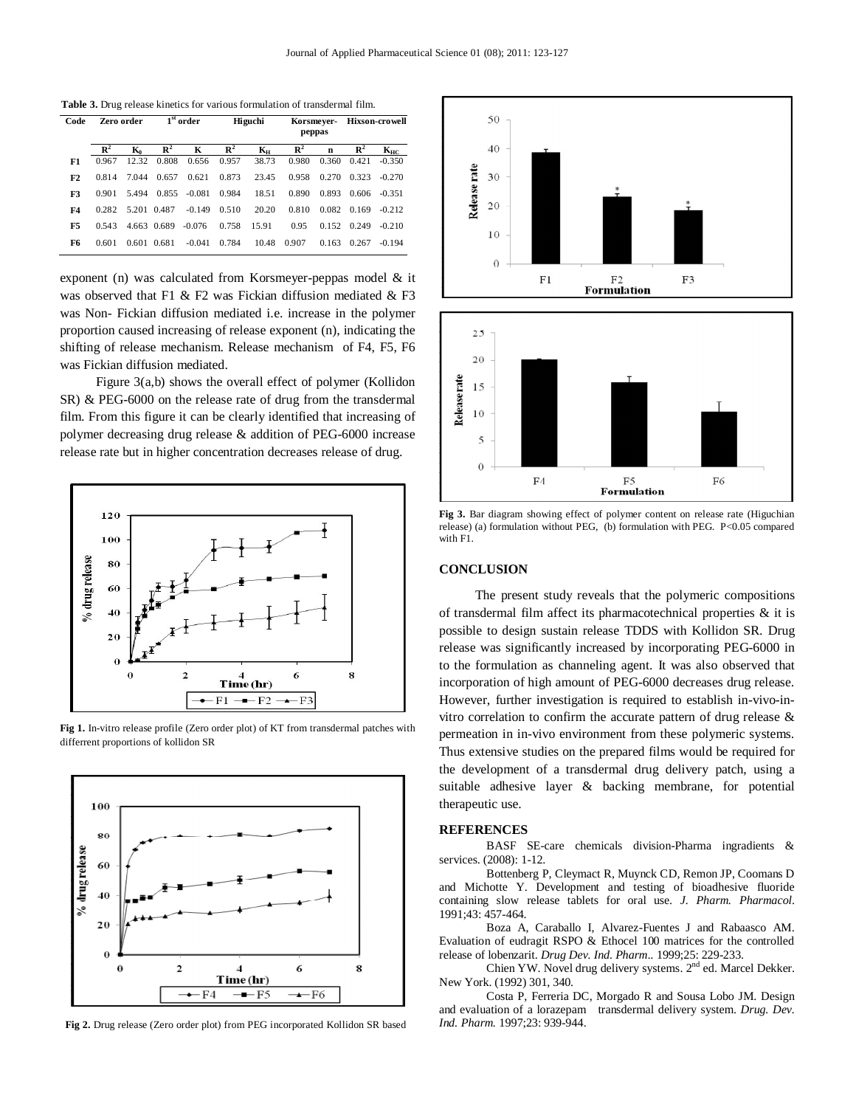**Table 3.** Drug release kinetics for various formulation of transdermal film.

| Code | Zero order     |             | $1st$ order    |          | Higuchi        |                           | Korsmeyer-     |       | <b>Hixson-crowell</b> |                       |
|------|----------------|-------------|----------------|----------|----------------|---------------------------|----------------|-------|-----------------------|-----------------------|
|      |                |             |                |          |                |                           | peppas         |       |                       |                       |
|      | $\mathbb{R}^2$ | K.          | $\mathbb{R}^2$ | K        | $\mathbb{R}^2$ | $\mathbf{K}_{\mathbf{H}}$ | $\mathbb{R}^2$ | n     | $\mathbb{R}^2$        | $\mathbf{K}_{\rm HC}$ |
| F1   | 0.967          | 12.32       | 0.808          | 0.656    | 0.957          | 38.73                     | 0.980          | 0.360 | 0.421                 | $-0.350$              |
| F2   | 0.814          | 7.044       | 0.657          | 0.621    | 0.873          | 23.45                     | 0.958          | 0.270 | 0.323                 | $-0.270$              |
| F3   | 0.901          | 5.494       | 0.855          | $-0.081$ | 0.984          | 18.51                     | 0.890          | 0.893 | 0.606                 | $-0.351$              |
| F4   | 0.282          | 5.201 0.487 |                | $-0.149$ | 0.510          | 20.20                     | 0.810          | 0.082 | 0.169                 | $-0.212$              |
| F5   | 0.543          |             | 4.663 0.689    | $-0.076$ | 0.758          | 15.91                     | 0.95           | 0.152 | 0.249                 | $-0.210$              |
| F6   | 0.601          | 0.601       | 0.681          | $-0.041$ | 0.784          | 10.48                     | 0.907          | 0.163 | 0.267                 | $-0.194$              |

exponent (n) was calculated from Korsmeyer-peppas model & it was observed that F1 & F2 was Fickian diffusion mediated & F3 was Non- Fickian diffusion mediated i.e. increase in the polymer proportion caused increasing of release exponent (n), indicating the shifting of release mechanism. Release mechanism of F4, F5, F6 was Fickian diffusion mediated.

 Figure 3(a,b) shows the overall effect of polymer (Kollidon SR) & PEG-6000 on the release rate of drug from the transdermal film. From this figure it can be clearly identified that increasing of polymer decreasing drug release & addition of PEG-6000 increase release rate but in higher concentration decreases release of drug.



**Fig 1.** In-vitro release profile (Zero order plot) of KT from transdermal patches with differrent proportions of kollidon SR



**Fig 2.** Drug release (Zero order plot) from PEG incorporated Kollidon SR based



**Fig 3.** Bar diagram showing effect of polymer content on release rate (Higuchian release) (a) formulation without PEG, (b) formulation with PEG. P<0.05 compared with F1.

# **CONCLUSION**

 The present study reveals that the polymeric compositions of transdermal film affect its pharmacotechnical properties & it is possible to design sustain release TDDS with Kollidon SR. Drug release was significantly increased by incorporating PEG-6000 in to the formulation as channeling agent. It was also observed that incorporation of high amount of PEG-6000 decreases drug release. However, further investigation is required to establish in-vivo-invitro correlation to confirm the accurate pattern of drug release  $\&$ permeation in in-vivo environment from these polymeric systems. Thus extensive studies on the prepared films would be required for the development of a transdermal drug delivery patch, using a suitable adhesive layer & backing membrane, for potential therapeutic use.

#### **REFERENCES**

BASF SE-care chemicals division-Pharma ingradients & services. (2008): 1-12.

Bottenberg P, Cleymact R, Muynck CD, Remon JP, Coomans D and Michotte Y. Development and testing of bioadhesive fluoride containing slow release tablets for oral use. *J. Pharm. Pharmacol*. 1991;43: 457-464.

Boza A, Caraballo I, Alvarez-Fuentes J and Rabaasco AM. Evaluation of eudragit RSPO & Ethocel 100 matrices for the controlled release of lobenzarit. *Drug Dev. Ind. Pharm..* 1999;25: 229-233.

Chien YW. Novel drug delivery systems. 2<sup>nd</sup> ed. Marcel Dekker. New York. (1992) 301, 340.

Costa P, Ferreria DC, Morgado R and Sousa Lobo JM. Design and evaluation of a lorazepam transdermal delivery system. *Drug. Dev. Ind. Pharm.* 1997;23: 939-944.